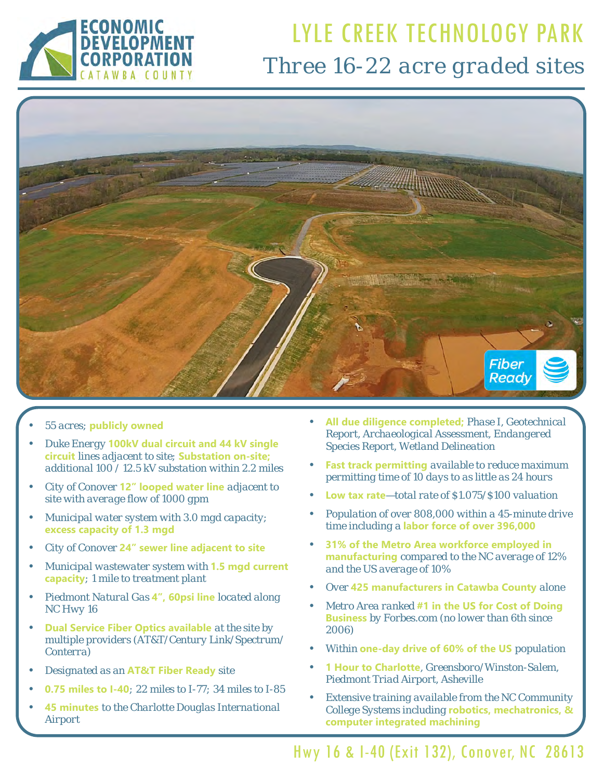

## LYLE CREEK TECHNOLOGY PARK *Three 16-22 acre graded sites*



- *55 acres;* **publicly owned**
- *Duke Energy* **100kV dual circuit and 44 kV single circuit** *lines adjacent to site;* **Substation on-site;** *additional 100 / 12.5 kV substation within 2.2 miles*
- *City of Conover* **12" looped water line** *adjacent to site with average flow of 1000 gpm*
- *Municipal water system with 3.0 mgd capacity;*  **excess capacity of 1.3 mgd**
- *City of Conover* **24" sewer line adjacent to site**
- *Municipal wastewater system with* **1.5 mgd current capacity***; 1 mile to treatment plant*
- *Piedmont Natural Gas* **4", 60psi line** *located along NC Hwy 16*
- **Dual Service Fiber Optics available** *at the site by multiple providers (AT&T/Century Link/Spectrum/ Conterra)*
- *Designated as an* **AT&T Fiber Ready** *site*
- **0.75 miles to I-40***; 22 miles to I-77; 34 miles to I-85*
- **45 minutes** *to the Charlotte Douglas International Airport*
- **All due diligence completed;** *Phase I, Geotechnical Report, Archaeological Assessment, Endangered Species Report, Wetland Delineation*
- **Fast track permitting** *available to reduce maximum permitting time of 10 days to as little as 24 hours*
- **Low tax rate***—total rate of \$1.075/\$100 valuation*
- *Population of over 808,000 within a 45-minute drive time including a* **labor force of over 396,000**
- **31% of the Metro Area workforce employed in manufacturing** *compared to the NC average of 12% and the US average of 10%*
- *Over* **425 manufacturers in Catawba County** *alone*
- *Metro Area ranked* **#1 in the US for Cost of Doing Business** *by Forbes.com (no lower than 6th since 2006)*
- *Within* **one-day drive of 60% of the US** *population*
- **1 Hour to Charlotte***, Greensboro/Winston-Salem, Piedmont Triad Airport, Asheville*
- *Extensive training available from the NC Community College Systems including* **robotics, mechatronics, & computer integrated machining**

Hwy 16 & I-40 (Exit 132), Conover, NC 28613